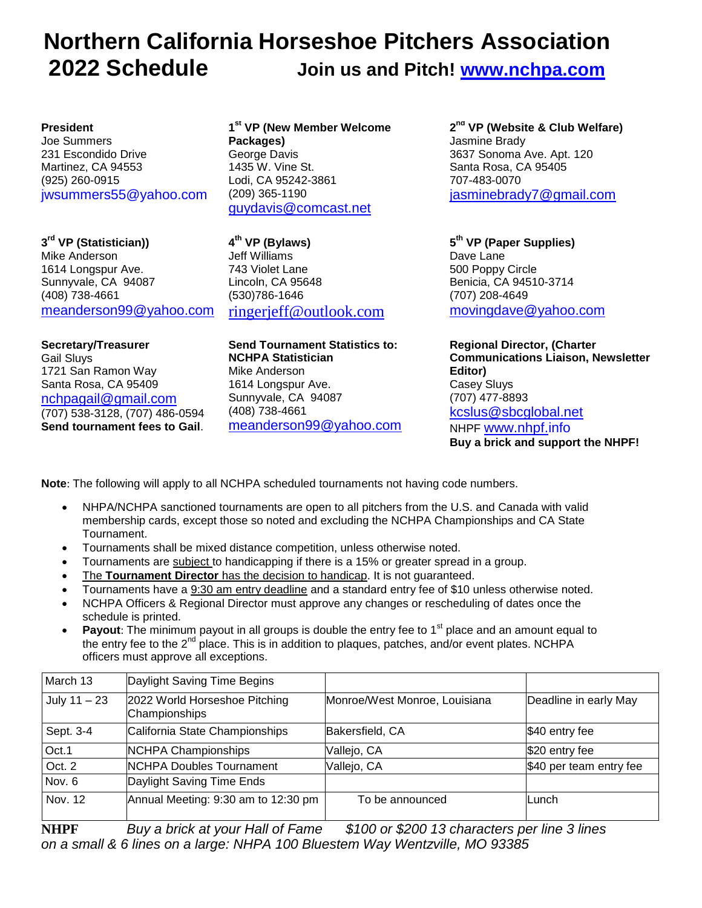# **Northern California Horseshoe Pitchers Association 2022 Schedule Join us and Pitch! [www.nchpa.com](../Documents/www.nchpa.com)**

#### **President**

Joe Summers 231 Escondido Drive Martinez, CA 94553 (925) 260-0915 jwsummers55@yahoo.com

**3 rd VP (Statistician))** Mike Anderson 1614 Longspur Ave. Sunnyvale, CA 94087 (408) 738-4661 [meanderson99@yahoo.com](mailto:meanderson99@yahoo.com)

**Secretary/Treasurer** Gail Sluys 1721 San Ramon Way Santa Rosa, CA 95409 [nchpagail@gmail.com](mailto:nchpagail@gmail.com) (707) 538-3128, (707) 486-0594 **Send tournament fees to Gail**.

**1 st VP (New Member Welcome Packages)** George Davis 1435 W. Vine St. Lodi, CA 95242-3861 (209) 365-1190 [guydavis@comcast.net](mailto:guydavis@comcast.net)

**4 th VP (Bylaws)** Jeff Williams 743 Violet Lane Lincoln, CA 95648 (530)786-1646 [ringerjeff@outlook.com](../Documents/ringerjeff@outlook.com)

**Send Tournament Statistics to: NCHPA Statistician** Mike Anderson 1614 Longspur Ave. Sunnyvale, CA 94087 (408) 738-4661 [meanderson99@yahoo.com](mailto:meanderson99@yahoo.com)

**2 nd VP (Website & Club Welfare)** Jasmine Brady 3637 Sonoma Ave. Apt. 120 Santa Rosa, CA 95405 707-483-0070 [jasminebrady7@gmail.com](Jasminebrady7@gmail.com)

**5 th VP (Paper Supplies)** Dave Lane 500 Poppy Circle Benicia, CA 94510-3714 (707) 208-4649 [movingdave@yahoo.com](../Documents/movingdave@yahoo.com)

**Regional Director, (Charter Communications Liaison, Newsletter Editor)** Casey Sluys (707) 477-8893 [kcslus@sbcglobal.net](mailto:kcslus@sbcglobal.net) NHPF [www.nhpf.i](http://www.horseshoepitching.com/)nfo **Buy a brick and support the NHPF!**

**Note**: The following will apply to all NCHPA scheduled tournaments not having code numbers.

- NHPA/NCHPA sanctioned tournaments are open to all pitchers from the U.S. and Canada with valid membership cards, except those so noted and excluding the NCHPA Championships and CA State Tournament.
- Tournaments shall be mixed distance competition, unless otherwise noted.
- Tournaments are subject to handicapping if there is a 15% or greater spread in a group.
- The **Tournament Director** has the decision to handicap. It is not guaranteed.
- Tournaments have a 9:30 am entry deadline and a standard entry fee of \$10 unless otherwise noted.
- NCHPA Officers & Regional Director must approve any changes or rescheduling of dates once the schedule is printed.
- **Payout**: The minimum payout in all groups is double the entry fee to 1<sup>st</sup> place and an amount equal to the entry fee to the 2<sup>nd</sup> place. This is in addition to plaques, patches, and/or event plates. NCHPA officers must approve all exceptions.

| March 13       | Daylight Saving Time Begins                    |                               |                         |
|----------------|------------------------------------------------|-------------------------------|-------------------------|
| July $11 - 23$ | 2022 World Horseshoe Pitching<br>Championships | Monroe/West Monroe, Louisiana | Deadline in early May   |
| Sept. 3-4      | California State Championships                 | Bakersfield, CA               | \$40 entry fee          |
| Oct.1          | <b>NCHPA Championships</b>                     | Vallejo, CA                   | \$20 entry fee          |
| Oct. 2         | <b>NCHPA Doubles Tournament</b>                | Vallejo, CA                   | \$40 per team entry fee |
| Nov. 6         | Daylight Saving Time Ends                      |                               |                         |
| Nov. 12        | Annual Meeting: 9:30 am to 12:30 pm            | To be announced               | lLunch.                 |

**NHPF** *Buy a brick at your Hall of Fame \$100 or \$200 13 characters per line 3 lines on a small & 6 lines on a large: NHPA 100 Bluestem Way Wentzville, MO 93385*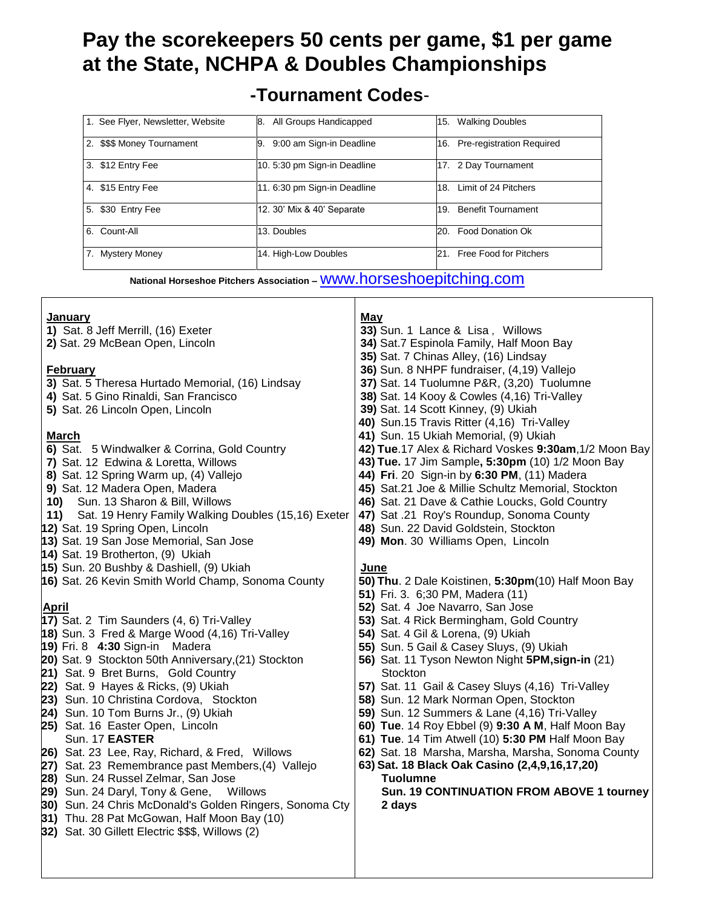# **Pay the scorekeepers 50 cents per game, \$1 per game at the State, NCHPA & Doubles Championships**

# **-Tournament Codes**-

| 1. See Flyer, Newsletter, Website | All Groups Handicapped<br>18.   | <b>Walking Doubles</b><br>15. |
|-----------------------------------|---------------------------------|-------------------------------|
| 2.<br>\$\$\$ Money Tournament     | 9:00 am Sign-in Deadline<br>19. | 16. Pre-registration Required |
| 3. \$12 Entry Fee                 | 10. 5:30 pm Sign-in Deadline    | 17. 2 Day Tournament          |
| 4. \$15 Entry Fee                 | 11. 6:30 pm Sign-in Deadline    | Limit of 24 Pitchers<br>18.   |
| 5. \$30 Entry Fee                 | 12. 30' Mix & 40' Separate      | 19. Benefit Tournament        |
| 6. Count-All                      | 13. Doubles                     | Food Donation Ok<br>20.       |
| 7.<br><b>Mystery Money</b>        | 14. High-Low Doubles            | 21. Free Food for Pitchers    |

**National Horseshoe Pitchers Association –** [www.horseshoepitching.com](http://www.horseshoepitching.com/)

| <b>January</b><br>1) Sat. 8 Jeff Merrill, (16) Exeter<br>2) Sat. 29 McBean Open, Lincoln<br><b>February</b> | May<br>33) Sun. 1 Lance & Lisa, Willows<br>34) Sat.7 Espinola Family, Half Moon Bay<br>35) Sat. 7 Chinas Alley, (16) Lindsay<br>36) Sun. 8 NHPF fundraiser, (4,19) Vallejo |
|-------------------------------------------------------------------------------------------------------------|----------------------------------------------------------------------------------------------------------------------------------------------------------------------------|
| 3) Sat. 5 Theresa Hurtado Memorial, (16) Lindsay                                                            | 37) Sat. 14 Tuolumne P&R, (3,20) Tuolumne                                                                                                                                  |
| 4) Sat. 5 Gino Rinaldi, San Francisco                                                                       | 38) Sat. 14 Kooy & Cowles (4,16) Tri-Valley                                                                                                                                |
| 5) Sat. 26 Lincoln Open, Lincoln                                                                            | 39) Sat. 14 Scott Kinney, (9) Ukiah                                                                                                                                        |
|                                                                                                             | 40) Sun.15 Travis Ritter (4,16) Tri-Valley                                                                                                                                 |
| <b>March</b>                                                                                                | 41) Sun. 15 Ukiah Memorial, (9) Ukiah                                                                                                                                      |
| 6) Sat. 5 Windwalker & Corrina, Gold Country                                                                | 42) Tue.17 Alex & Richard Voskes 9:30am, 1/2 Moon Bay                                                                                                                      |
| 7) Sat. 12 Edwina & Loretta, Willows                                                                        | 43) Tue. 17 Jim Sample, 5:30pm (10) 1/2 Moon Bay                                                                                                                           |
| 8) Sat. 12 Spring Warm up, (4) Vallejo<br>9) Sat. 12 Madera Open, Madera                                    | 44) Fri. 20 Sign-in by 6:30 PM, (11) Madera<br>45) Sat.21 Joe & Millie Schultz Memorial, Stockton                                                                          |
| Sun. 13 Sharon & Bill, Willows<br>10)                                                                       | 46) Sat. 21 Dave & Cathie Loucks, Gold Country                                                                                                                             |
| Sat. 19 Henry Family Walking Doubles (15,16) Exeter<br>11)                                                  | 47) Sat .21 Roy's Roundup, Sonoma County                                                                                                                                   |
| 12) Sat. 19 Spring Open, Lincoln                                                                            | 48) Sun. 22 David Goldstein, Stockton                                                                                                                                      |
| 13) Sat. 19 San Jose Memorial, San Jose                                                                     | 49) Mon. 30 Williams Open, Lincoln                                                                                                                                         |
| 14) Sat. 19 Brotherton, (9) Ukiah                                                                           |                                                                                                                                                                            |
| 15) Sun. 20 Bushby & Dashiell, (9) Ukiah                                                                    | June                                                                                                                                                                       |
| 16) Sat. 26 Kevin Smith World Champ, Sonoma County                                                          | 50) Thu. 2 Dale Koistinen, 5:30pm(10) Half Moon Bay                                                                                                                        |
|                                                                                                             | 51) Fri. 3. 6;30 PM, Madera (11)                                                                                                                                           |
| <b>April</b>                                                                                                | 52) Sat. 4 Joe Navarro, San Jose                                                                                                                                           |
| 17) Sat. 2 Tim Saunders (4, 6) Tri-Valley                                                                   | 53) Sat. 4 Rick Bermingham, Gold Country                                                                                                                                   |
| 18) Sun. 3 Fred & Marge Wood (4,16) Tri-Valley<br>19) Fri. 8 4:30 Sign-in Madera                            | 54) Sat. 4 Gil & Lorena, (9) Ukiah<br>55) Sun. 5 Gail & Casey Sluys, (9) Ukiah                                                                                             |
| 20) Sat. 9 Stockton 50th Anniversary, (21) Stockton                                                         | 56) Sat. 11 Tyson Newton Night 5PM, sign-in (21)                                                                                                                           |
| 21) Sat. 9 Bret Burns, Gold Country                                                                         | Stockton                                                                                                                                                                   |
| 22) Sat. 9 Hayes & Ricks, (9) Ukiah                                                                         | 57) Sat. 11 Gail & Casey Sluys (4,16) Tri-Valley                                                                                                                           |
| 23) Sun. 10 Christina Cordova, Stockton                                                                     | 58) Sun. 12 Mark Norman Open, Stockton                                                                                                                                     |
| 24) Sun. 10 Tom Burns Jr., (9) Ukiah                                                                        | 59) Sun. 12 Summers & Lane (4,16) Tri-Valley                                                                                                                               |
| 25) Sat. 16 Easter Open, Lincoln                                                                            | 60) Tue. 14 Roy Ebbel (9) 9:30 A M, Half Moon Bay                                                                                                                          |
| Sun. 17 EASTER                                                                                              | 61) Tue. 14 Tim Atwell (10) 5:30 PM Half Moon Bay                                                                                                                          |
| 26) Sat. 23 Lee, Ray, Richard, & Fred, Willows                                                              | 62) Sat. 18 Marsha, Marsha, Marsha, Sonoma County                                                                                                                          |
| 27) Sat. 23 Remembrance past Members, (4) Vallejo                                                           | 63) Sat. 18 Black Oak Casino (2,4,9,16,17,20)                                                                                                                              |
| 28) Sun. 24 Russel Zelmar, San Jose                                                                         | <b>Tuolumne</b>                                                                                                                                                            |
| 29) Sun. 24 Daryl, Tony & Gene, Willows<br>30) Sun. 24 Chris McDonald's Golden Ringers, Sonoma Cty          | Sun. 19 CONTINUATION FROM ABOVE 1 tourney<br>2 days                                                                                                                        |
| 31) Thu. 28 Pat McGowan, Half Moon Bay (10)                                                                 |                                                                                                                                                                            |
| 32) Sat. 30 Gillett Electric \$\$\$, Willows (2)                                                            |                                                                                                                                                                            |
|                                                                                                             |                                                                                                                                                                            |
|                                                                                                             |                                                                                                                                                                            |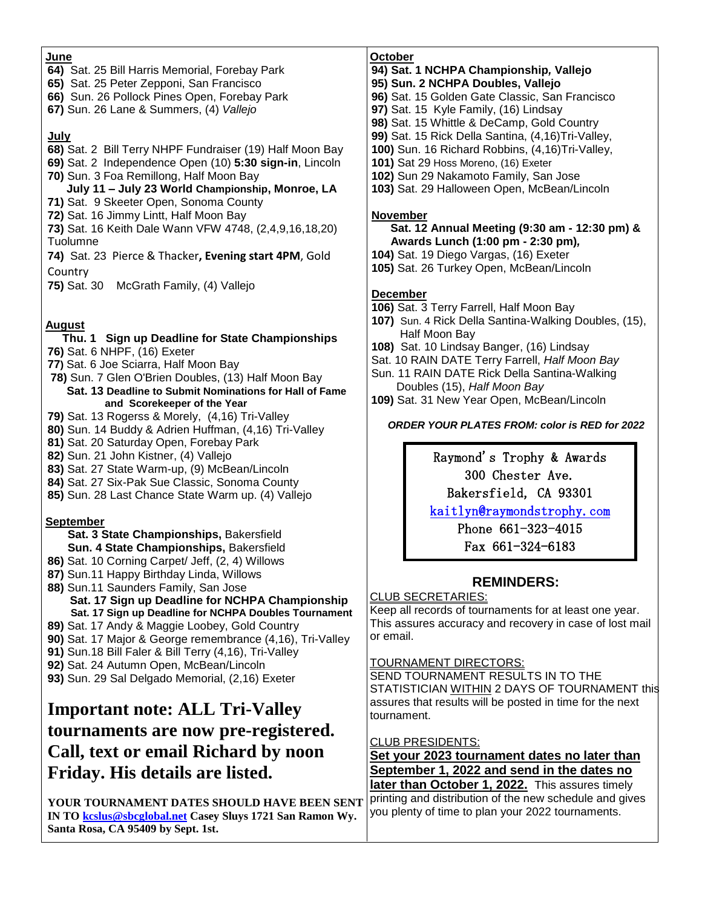#### **June**

- **64)** Sat. 25 Bill Harris Memorial, Forebay Park
- **65)** Sat. 25 Peter Zepponi, San Francisco
- **66)** Sun. 26 Pollock Pines Open, Forebay Park
- **67)** Sun. 26 Lane & Summers, (4) *Vallejo*

#### **July**

- **68)** Sat. 2 Bill Terry NHPF Fundraiser (19) Half Moon Bay
- **69)** Sat. 2 Independence Open (10) **5:30 sign-in**, Lincoln
- **70)** Sun. 3 Foa Remillong, Half Moon Bay

### **July 11 – July 23 World Championship, Monroe, LA**

- **71)** Sat. 9 Skeeter Open, Sonoma County
- **72)** Sat. 16 Jimmy Lintt, Half Moon Bay
- **73)** Sat. 16 Keith Dale Wann VFW 4748, (2,4,9,16,18,20) Tuolumne
- **74)** Sat. 23 Pierce & Thacker**, Evening start 4PM**, Gold **Country**
- **75)** Sat. 30 McGrath Family, (4) Vallejo

### **August**

#### **Thu. 1 Sign up Deadline for State Championships 76)** Sat. 6 NHPF, (16) Exeter

- **77)** Sat. 6 Joe Sciarra, Half Moon Bay
- **78)** Sun. 7 Glen O'Brien Doubles, (13) Half Moon Bay  **Sat. 13 Deadline to Submit Nominations for Hall of Fame and Scorekeeper of the Year**
- **79)** Sat. 13 Rogerss & Morely, (4,16) Tri-Valley
- **80)** Sun. 14 Buddy & Adrien Huffman, (4,16) Tri-Valley
- **81)** Sat. 20 Saturday Open, Forebay Park
- **82)** Sun. 21 John Kistner, (4) Vallejo
- **83)** Sat. 27 State Warm-up, (9) McBean/Lincoln
- **84)** Sat. 27 Six-Pak Sue Classic, Sonoma County
- **85)** Sun. 28 Last Chance State Warm up. (4) Vallejo

### **September**

 **Sat. 3 State Championships,** Bakersfield  **Sun. 4 State Championships,** Bakersfield

- **86)** Sat. 10 Corning Carpet/ Jeff, (2, 4) Willows
- **87)** Sun.11 Happy Birthday Linda, Willows
- **88)** Sun.11 Saunders Family, San Jose
	- **Sat. 17 Sign up Deadline for NCHPA Championship Sat. 17 Sign up Deadline for NCHPA Doubles Tournament**
- **89)** Sat. 17 Andy & Maggie Loobey, Gold Country
- **90)** Sat. 17 Major & George remembrance (4,16), Tri-Valley
- **91)** Sun.18 Bill Faler & Bill Terry (4,16), Tri-Valley
- **92)** Sat. 24 Autumn Open, McBean/Lincoln
- **93)** Sun. 29 Sal Delgado Memorial, (2,16) Exeter

# **Important note: ALL Tri-Valley tournaments are now pre-registered. Call, text or email Richard by noon Friday. His details are listed.**

**YOUR TOURNAMENT DATES SHOULD HAVE BEEN SENT IN TO [kcslus@sbcglobal.net](kcslus@sbcglobal.net%20) Casey Sluys 1721 San Ramon Wy. Santa Rosa, CA 95409 by Sept. 1st.**

#### **October**

#### **94) Sat. 1 NCHPA Championship***,* **Vallejo**

- **95) Sun. 2 NCHPA Doubles, Vallejo**
- **96)** Sat. 15 Golden Gate Classic, San Francisco
- **97)** Sat. 15 Kyle Family, (16) Lindsay
- **98)** Sat. 15 Whittle & DeCamp, Gold Country
- **99)** Sat. 15 Rick Della Santina, (4,16)Tri-Valley,
- **100)** Sun. 16 Richard Robbins, (4,16)Tri-Valley,
- **101)** Sat 29 Hoss Moreno, (16) Exeter
- **102)** Sun 29 Nakamoto Family, San Jose
- **103)** Sat. 29 Halloween Open, McBean/Lincoln

#### **November**

#### **Sat. 12 Annual Meeting (9:30 am - 12:30 pm) & Awards Lunch (1:00 pm - 2:30 pm)***,*

- **104)** Sat. 19 Diego Vargas, (16) Exeter
- **105)** Sat. 26 Turkey Open, McBean/Lincoln

### **December**

- **106)** Sat. 3 Terry Farrell, Half Moon Bay
- **107)** Sun. 4 Rick Della Santina-Walking Doubles, (15), Half Moon Bay
- **108)** Sat. 10 Lindsay Banger, (16) Lindsay
- **11** Sat. 10 RAIN DATE Terry Farrell, *Half Moon Bay*
- **11** Sun. 11 RAIN DATE Rick Della Santina-Walking Doubles (15), *Half Moon Bay*
- **109)** Sat. 31 New Year Open, McBean/Lincoln

*ORDER YOUR PLATES FROM: color is RED for 2022* 

Raymond's Trophy & Awards 300 Chester Ave.

Bakersfield, CA 93301

kaitlyn@raymondstrophy.com

Phone 661-323-4015 Fax 661-324-6183

## **REMINDERS:**

#### CLUB SECRETARIES:

Keep all records of tournaments for at least one year. This assures accuracy and recovery in case of lost mail or email.

### TOURNAMENT DIRECTORS:

SEND TOURNAMENT RESULTS IN TO THE STATISTICIAN WITHIN 2 DAYS OF TOURNAMENT this assures that results will be posted in time for the next tournament.

#### CLUB PRESIDENTS:

**Set your 2023 tournament dates no later than September 1, 2022 and send in the dates no later than October 1, 2022.** This assures timely

printing and distribution of the new schedule and gives you plenty of time to plan your 2022 tournaments.